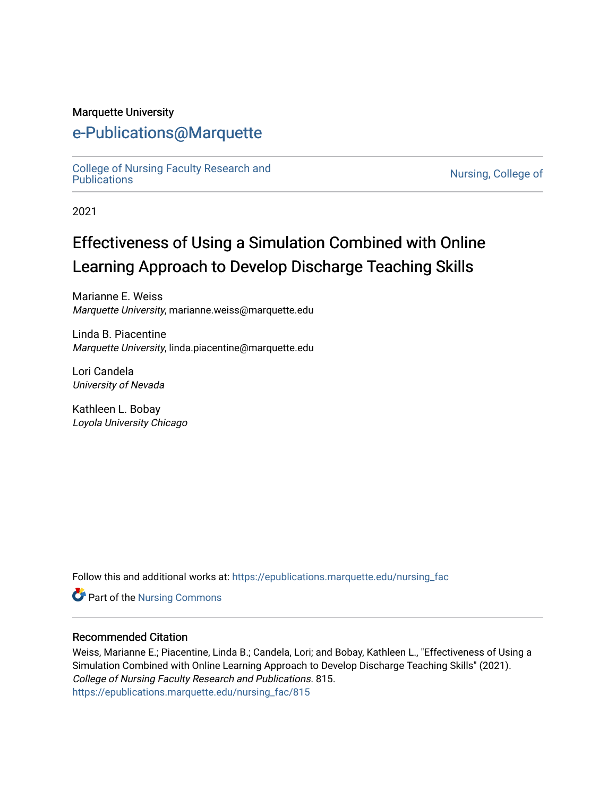#### Marquette University

# [e-Publications@Marquette](https://epublications.marquette.edu/)

[College of Nursing Faculty Research and](https://epublications.marquette.edu/nursing_fac)<br>Publications

Nursing, College of

2021

# Effectiveness of Using a Simulation Combined with Online Learning Approach to Develop Discharge Teaching Skills

Marianne E. Weiss Marquette University, marianne.weiss@marquette.edu

Linda B. Piacentine Marquette University, linda.piacentine@marquette.edu

Lori Candela University of Nevada

Kathleen L. Bobay Loyola University Chicago

Follow this and additional works at: [https://epublications.marquette.edu/nursing\\_fac](https://epublications.marquette.edu/nursing_fac?utm_source=epublications.marquette.edu%2Fnursing_fac%2F815&utm_medium=PDF&utm_campaign=PDFCoverPages)

Part of the [Nursing Commons](http://network.bepress.com/hgg/discipline/718?utm_source=epublications.marquette.edu%2Fnursing_fac%2F815&utm_medium=PDF&utm_campaign=PDFCoverPages) 

#### Recommended Citation

Weiss, Marianne E.; Piacentine, Linda B.; Candela, Lori; and Bobay, Kathleen L., "Effectiveness of Using a Simulation Combined with Online Learning Approach to Develop Discharge Teaching Skills" (2021). College of Nursing Faculty Research and Publications. 815. [https://epublications.marquette.edu/nursing\\_fac/815](https://epublications.marquette.edu/nursing_fac/815?utm_source=epublications.marquette.edu%2Fnursing_fac%2F815&utm_medium=PDF&utm_campaign=PDFCoverPages)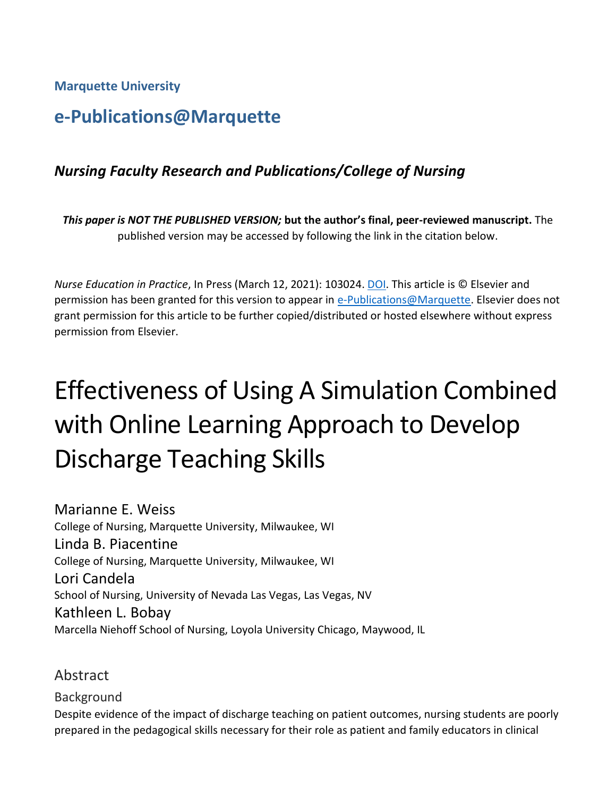**Marquette University**

# **e-Publications@Marquette**

## *Nursing Faculty Research and Publications/College of Nursing*

*This paper is NOT THE PUBLISHED VERSION;* **but the author's final, peer-reviewed manuscript.** The published version may be accessed by following the link in the citation below.

*Nurse Education in Practice*, In Press (March 12, 2021): 103024. [DOI.](https://doi.org/10.1016/j.nepr.2021.103024) This article is © Elsevier and permission has been granted for this version to appear in [e-Publications@Marquette.](http://epublications.marquette.edu/) Elsevier does not grant permission for this article to be further copied/distributed or hosted elsewhere without express permission from Elsevier.

# Effectiveness of Using A Simulation Combined with Online Learning Approach to Develop Discharge Teaching Skills

Marianne E. Weiss College of Nursing, Marquette University, Milwaukee, WI Linda B. Piacentine College of Nursing, Marquette University, Milwaukee, WI Lori Candela School of Nursing, University of Nevada Las Vegas, Las Vegas, NV Kathleen L. Bobay Marcella Niehoff School of Nursing, Loyola University Chicago, Maywood, IL

Abstract

Background Despite evidence of the impact of discharge teaching on patient outcomes, nursing students are poorly prepared in the pedagogical skills necessary for their role as patient and family educators in clinical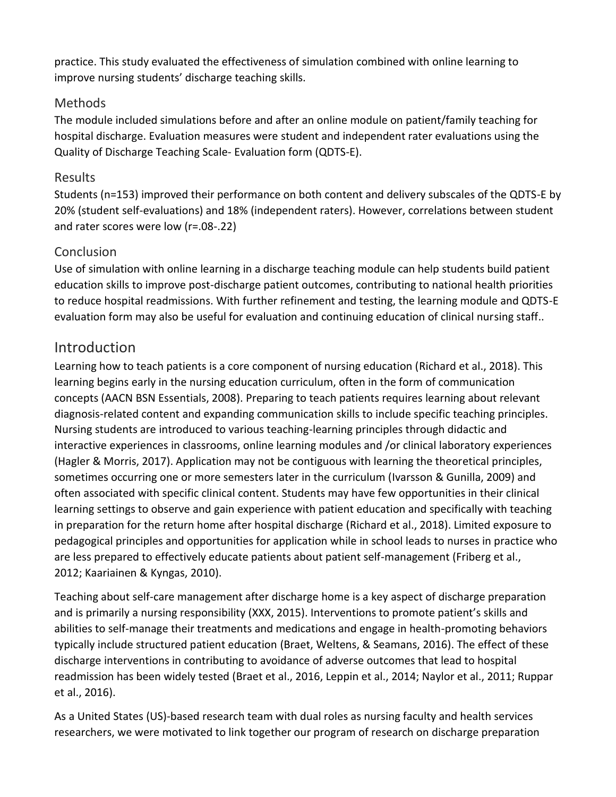practice. This study evaluated the effectiveness of simulation combined with online learning to improve nursing students' discharge teaching skills.

#### Methods

The module included simulations before and after an online module on patient/family teaching for hospital discharge. Evaluation measures were student and independent rater evaluations using the Quality of Discharge Teaching Scale- Evaluation form (QDTS-E).

#### Results

Students (n=153) improved their performance on both content and delivery subscales of the QDTS-E by 20% (student self-evaluations) and 18% (independent raters). However, correlations between student and rater scores were low (r=.08-.22)

#### **Conclusion**

Use of simulation with online learning in a discharge teaching module can help students build patient education skills to improve post-discharge patient outcomes, contributing to national health priorities to reduce hospital readmissions. With further refinement and testing, the learning module and QDTS-E evaluation form may also be useful for evaluation and continuing education of clinical nursing staff..

# **Introduction**

Learning how to teach patients is a core component of nursing education (Richard et al., 2018). This learning begins early in the nursing education curriculum, often in the form of communication concepts (AACN BSN Essentials, 2008). Preparing to teach patients requires learning about relevant diagnosis-related content and expanding communication skills to include specific teaching principles. Nursing students are introduced to various teaching-learning principles through didactic and interactive experiences in classrooms, online learning modules and /or clinical laboratory experiences (Hagler & Morris, 2017). Application may not be contiguous with learning the theoretical principles, sometimes occurring one or more semesters later in the curriculum (Ivarsson & Gunilla, 2009) and often associated with specific clinical content. Students may have few opportunities in their clinical learning settings to observe and gain experience with patient education and specifically with teaching in preparation for the return home after hospital discharge (Richard et al., 2018). Limited exposure to pedagogical principles and opportunities for application while in school leads to nurses in practice who are less prepared to effectively educate patients about patient self-management (Friberg et al., 2012; Kaariainen & Kyngas, 2010).

Teaching about self-care management after discharge home is a key aspect of discharge preparation and is primarily a nursing responsibility (XXX, 2015). Interventions to promote patient's skills and abilities to self-manage their treatments and medications and engage in health-promoting behaviors typically include structured patient education (Braet, Weltens, & Seamans, 2016). The effect of these discharge interventions in contributing to avoidance of adverse outcomes that lead to hospital readmission has been widely tested (Braet et al., 2016, Leppin et al., 2014; Naylor et al., 2011; Ruppar et al., 2016).

As a United States (US)-based research team with dual roles as nursing faculty and health services researchers, we were motivated to link together our program of research on discharge preparation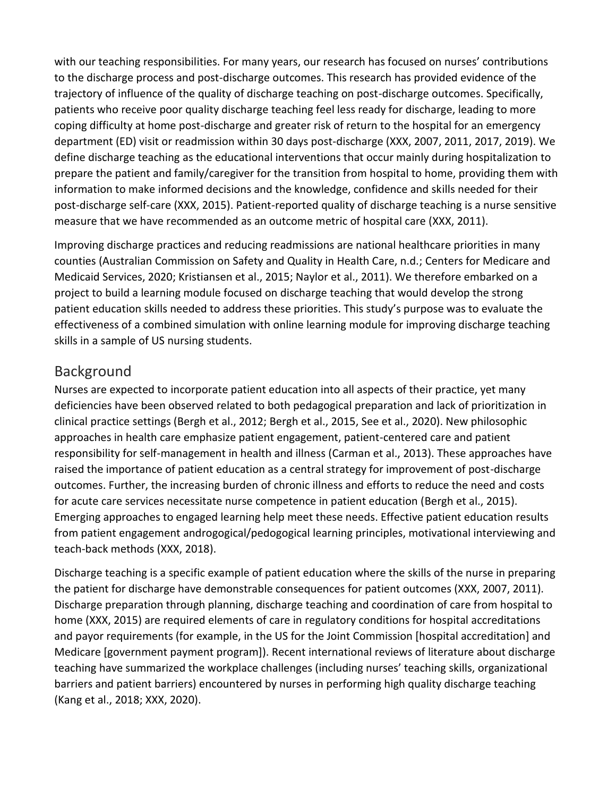with our teaching responsibilities. For many years, our research has focused on nurses' contributions to the discharge process and post-discharge outcomes. This research has provided evidence of the trajectory of influence of the quality of discharge teaching on post-discharge outcomes. Specifically, patients who receive poor quality discharge teaching feel less ready for discharge, leading to more coping difficulty at home post-discharge and greater risk of return to the hospital for an emergency department (ED) visit or readmission within 30 days post-discharge (XXX, 2007, 2011, 2017, 2019). We define discharge teaching as the educational interventions that occur mainly during hospitalization to prepare the patient and family/caregiver for the transition from hospital to home, providing them with information to make informed decisions and the knowledge, confidence and skills needed for their post-discharge self-care (XXX, 2015). Patient-reported quality of discharge teaching is a nurse sensitive measure that we have recommended as an outcome metric of hospital care (XXX, 2011).

Improving discharge practices and reducing readmissions are national healthcare priorities in many counties (Australian Commission on Safety and Quality in Health Care, n.d.; Centers for Medicare and Medicaid Services, 2020; Kristiansen et al., 2015; Naylor et al., 2011). We therefore embarked on a project to build a learning module focused on discharge teaching that would develop the strong patient education skills needed to address these priorities. This study's purpose was to evaluate the effectiveness of a combined simulation with online learning module for improving discharge teaching skills in a sample of US nursing students.

## Background

Nurses are expected to incorporate patient education into all aspects of their practice, yet many deficiencies have been observed related to both pedagogical preparation and lack of prioritization in clinical practice settings (Bergh et al., 2012; Bergh et al., 2015, See et al., 2020). New philosophic approaches in health care emphasize patient engagement, patient-centered care and patient responsibility for self-management in health and illness (Carman et al., 2013). These approaches have raised the importance of patient education as a central strategy for improvement of post-discharge outcomes. Further, the increasing burden of chronic illness and efforts to reduce the need and costs for acute care services necessitate nurse competence in patient education (Bergh et al., 2015). Emerging approaches to engaged learning help meet these needs. Effective patient education results from patient engagement androgogical/pedogogical learning principles, motivational interviewing and teach-back methods (XXX, 2018).

Discharge teaching is a specific example of patient education where the skills of the nurse in preparing the patient for discharge have demonstrable consequences for patient outcomes (XXX, 2007, 2011). Discharge preparation through planning, discharge teaching and coordination of care from hospital to home (XXX, 2015) are required elements of care in regulatory conditions for hospital accreditations and payor requirements (for example, in the US for the Joint Commission [hospital accreditation] and Medicare [government payment program]). Recent international reviews of literature about discharge teaching have summarized the workplace challenges (including nurses' teaching skills, organizational barriers and patient barriers) encountered by nurses in performing high quality discharge teaching (Kang et al., 2018; XXX, 2020).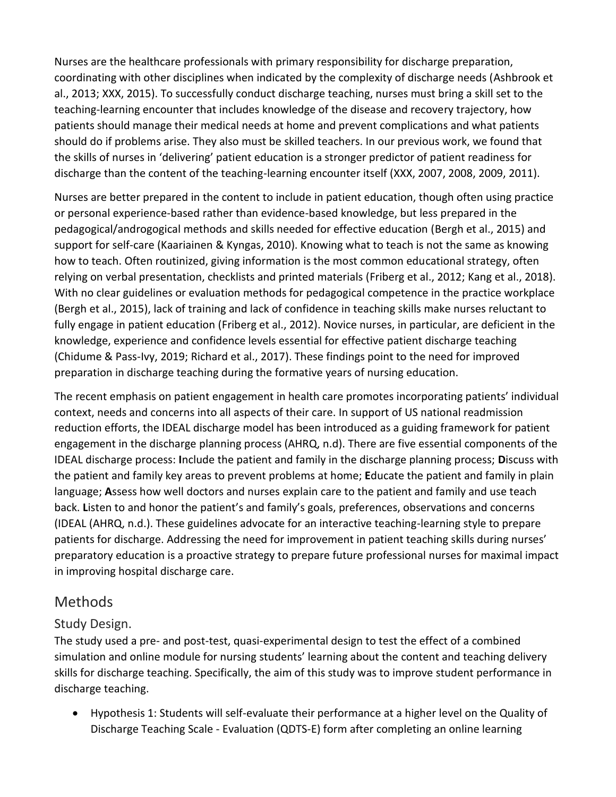Nurses are the healthcare professionals with primary responsibility for discharge preparation, coordinating with other disciplines when indicated by the complexity of discharge needs (Ashbrook et al., 2013; XXX, 2015). To successfully conduct discharge teaching, nurses must bring a skill set to the teaching-learning encounter that includes knowledge of the disease and recovery trajectory, how patients should manage their medical needs at home and prevent complications and what patients should do if problems arise. They also must be skilled teachers. In our previous work, we found that the skills of nurses in 'delivering' patient education is a stronger predictor of patient readiness for discharge than the content of the teaching-learning encounter itself (XXX, 2007, 2008, 2009, 2011).

Nurses are better prepared in the content to include in patient education, though often using practice or personal experience-based rather than evidence-based knowledge, but less prepared in the pedagogical/androgogical methods and skills needed for effective education (Bergh et al., 2015) and support for self-care (Kaariainen & Kyngas, 2010). Knowing what to teach is not the same as knowing how to teach. Often routinized, giving information is the most common educational strategy, often relying on verbal presentation, checklists and printed materials (Friberg et al., 2012; Kang et al., 2018). With no clear guidelines or evaluation methods for pedagogical competence in the practice workplace (Bergh et al., 2015), lack of training and lack of confidence in teaching skills make nurses reluctant to fully engage in patient education (Friberg et al., 2012). Novice nurses, in particular, are deficient in the knowledge, experience and confidence levels essential for effective patient discharge teaching (Chidume & Pass-Ivy, 2019; Richard et al., 2017). These findings point to the need for improved preparation in discharge teaching during the formative years of nursing education.

The recent emphasis on patient engagement in health care promotes incorporating patients' individual context, needs and concerns into all aspects of their care. In support of US national readmission reduction efforts, the IDEAL discharge model has been introduced as a guiding framework for patient engagement in the discharge planning process (AHRQ, n.d). There are five essential components of the IDEAL discharge process: **I**nclude the patient and family in the discharge planning process; **D**iscuss with the patient and family key areas to prevent problems at home; **E**ducate the patient and family in plain language; **A**ssess how well doctors and nurses explain care to the patient and family and use teach back. **L**isten to and honor the patient's and family's goals, preferences, observations and concerns (IDEAL (AHRQ, n.d.). These guidelines advocate for an interactive teaching-learning style to prepare patients for discharge. Addressing the need for improvement in patient teaching skills during nurses' preparatory education is a proactive strategy to prepare future professional nurses for maximal impact in improving hospital discharge care.

## Methods

#### Study Design.

The study used a pre- and post-test, quasi-experimental design to test the effect of a combined simulation and online module for nursing students' learning about the content and teaching delivery skills for discharge teaching. Specifically, the aim of this study was to improve student performance in discharge teaching.

• Hypothesis 1: Students will self-evaluate their performance at a higher level on the Quality of Discharge Teaching Scale - Evaluation (QDTS-E) form after completing an online learning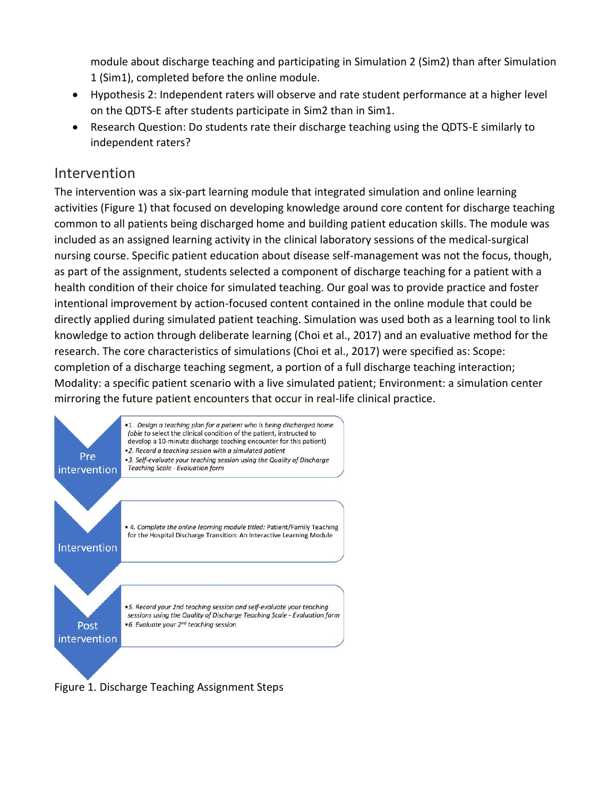module about discharge teaching and participating in Simulation 2 (Sim2) than after Simulation 1 (Sim1), completed before the online module.

- Hypothesis 2: Independent raters will observe and rate student performance at a higher level on the QDTS-E after students participate in Sim2 than in Sim1.
- Research Question: Do students rate their discharge teaching using the QDTS-E similarly to independent raters?

#### Intervention

The intervention was a six-part learning module that integrated simulation and online learning activities (Figure 1) that focused on developing knowledge around core content for discharge teaching common to all patients being discharged home and building patient education skills. The module was included as an assigned learning activity in the clinical laboratory sessions of the medical-surgical nursing course. Specific patient education about disease self-management was not the focus, though, as part of the assignment, students selected a component of discharge teaching for a patient with a health condition of their choice for simulated teaching. Our goal was to provide practice and foster intentional improvement by action-focused content contained in the online module that could be directly applied during simulated patient teaching. Simulation was used both as a learning tool to link knowledge to action through deliberate learning (Choi et al., 2017) and an evaluative method for the research. The core characteristics of simulations (Choi et al., 2017) were specified as: Scope: completion of a discharge teaching segment, a portion of a full discharge teaching interaction; Modality: a specific patient scenario with a live simulated patient; Environment: a simulation center mirroring the future patient encounters that occur in real-life clinical practice.



Figure 1. Discharge Teaching Assignment Steps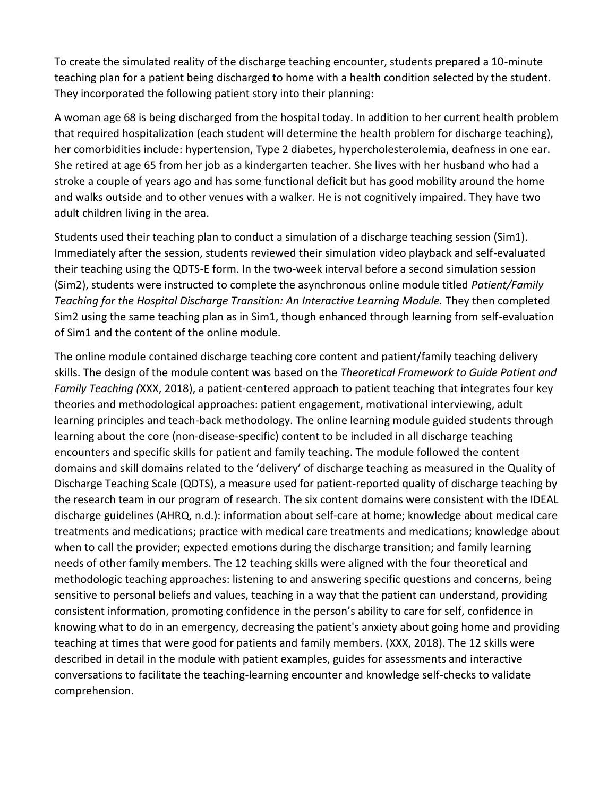To create the simulated reality of the discharge teaching encounter, students prepared a 10-minute teaching plan for a patient being discharged to home with a health condition selected by the student. They incorporated the following patient story into their planning:

A woman age 68 is being discharged from the hospital today. In addition to her current health problem that required hospitalization (each student will determine the health problem for discharge teaching), her comorbidities include: hypertension, Type 2 diabetes, hypercholesterolemia, deafness in one ear. She retired at age 65 from her job as a kindergarten teacher. She lives with her husband who had a stroke a couple of years ago and has some functional deficit but has good mobility around the home and walks outside and to other venues with a walker. He is not cognitively impaired. They have two adult children living in the area.

Students used their teaching plan to conduct a simulation of a discharge teaching session (Sim1). Immediately after the session, students reviewed their simulation video playback and self-evaluated their teaching using the QDTS-E form. In the two-week interval before a second simulation session (Sim2), students were instructed to complete the asynchronous online module titled *Patient/Family Teaching for the Hospital Discharge Transition: An Interactive Learning Module.* They then completed Sim2 using the same teaching plan as in Sim1, though enhanced through learning from self-evaluation of Sim1 and the content of the online module.

The online module contained discharge teaching core content and patient/family teaching delivery skills. The design of the module content was based on the *Theoretical Framework to Guide Patient and Family Teaching (*XXX, 2018), a patient-centered approach to patient teaching that integrates four key theories and methodological approaches: patient engagement, motivational interviewing, adult learning principles and teach-back methodology. The online learning module guided students through learning about the core (non-disease-specific) content to be included in all discharge teaching encounters and specific skills for patient and family teaching. The module followed the content domains and skill domains related to the 'delivery' of discharge teaching as measured in the Quality of Discharge Teaching Scale (QDTS), a measure used for patient-reported quality of discharge teaching by the research team in our program of research. The six content domains were consistent with the IDEAL discharge guidelines (AHRQ, n.d.): information about self-care at home; knowledge about medical care treatments and medications; practice with medical care treatments and medications; knowledge about when to call the provider; expected emotions during the discharge transition; and family learning needs of other family members. The 12 teaching skills were aligned with the four theoretical and methodologic teaching approaches: listening to and answering specific questions and concerns, being sensitive to personal beliefs and values, teaching in a way that the patient can understand, providing consistent information, promoting confidence in the person's ability to care for self, confidence in knowing what to do in an emergency, decreasing the patient's anxiety about going home and providing teaching at times that were good for patients and family members. (XXX, 2018). The 12 skills were described in detail in the module with patient examples, guides for assessments and interactive conversations to facilitate the teaching-learning encounter and knowledge self-checks to validate comprehension.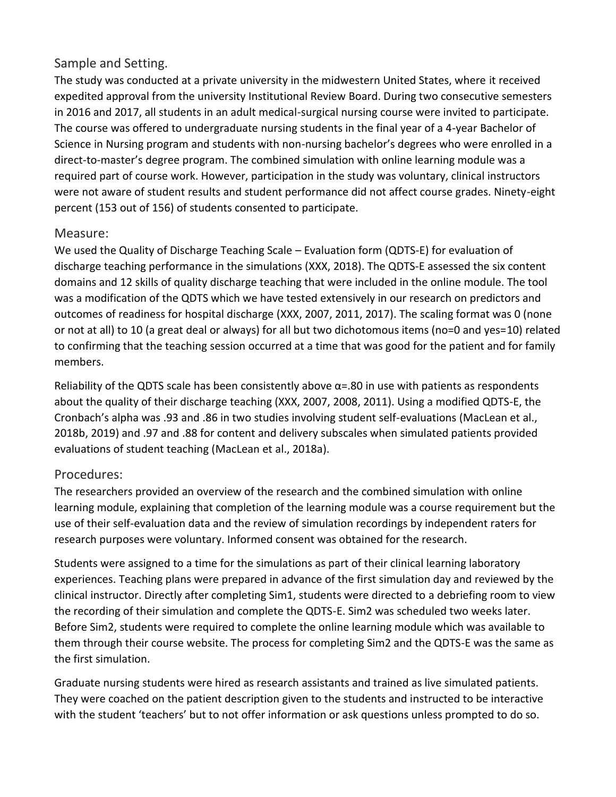#### Sample and Setting.

The study was conducted at a private university in the midwestern United States, where it received expedited approval from the university Institutional Review Board. During two consecutive semesters in 2016 and 2017, all students in an adult medical-surgical nursing course were invited to participate. The course was offered to undergraduate nursing students in the final year of a 4-year Bachelor of Science in Nursing program and students with non-nursing bachelor's degrees who were enrolled in a direct-to-master's degree program. The combined simulation with online learning module was a required part of course work. However, participation in the study was voluntary, clinical instructors were not aware of student results and student performance did not affect course grades. Ninety-eight percent (153 out of 156) of students consented to participate.

#### Measure:

We used the Quality of Discharge Teaching Scale – Evaluation form (QDTS-E) for evaluation of discharge teaching performance in the simulations (XXX, 2018). The QDTS-E assessed the six content domains and 12 skills of quality discharge teaching that were included in the online module. The tool was a modification of the QDTS which we have tested extensively in our research on predictors and outcomes of readiness for hospital discharge (XXX, 2007, 2011, 2017). The scaling format was 0 (none or not at all) to 10 (a great deal or always) for all but two dichotomous items (no=0 and yes=10) related to confirming that the teaching session occurred at a time that was good for the patient and for family members.

Reliability of the QDTS scale has been consistently above  $\alpha$ =.80 in use with patients as respondents about the quality of their discharge teaching (XXX, 2007, 2008, 2011). Using a modified QDTS-E, the Cronbach's alpha was .93 and .86 in two studies involving student self-evaluations (MacLean et al., 2018b, 2019) and .97 and .88 for content and delivery subscales when simulated patients provided evaluations of student teaching (MacLean et al., 2018a).

#### Procedures:

The researchers provided an overview of the research and the combined simulation with online learning module, explaining that completion of the learning module was a course requirement but the use of their self-evaluation data and the review of simulation recordings by independent raters for research purposes were voluntary. Informed consent was obtained for the research.

Students were assigned to a time for the simulations as part of their clinical learning laboratory experiences. Teaching plans were prepared in advance of the first simulation day and reviewed by the clinical instructor. Directly after completing Sim1, students were directed to a debriefing room to view the recording of their simulation and complete the QDTS-E. Sim2 was scheduled two weeks later. Before Sim2, students were required to complete the online learning module which was available to them through their course website. The process for completing Sim2 and the QDTS-E was the same as the first simulation.

Graduate nursing students were hired as research assistants and trained as live simulated patients. They were coached on the patient description given to the students and instructed to be interactive with the student 'teachers' but to not offer information or ask questions unless prompted to do so.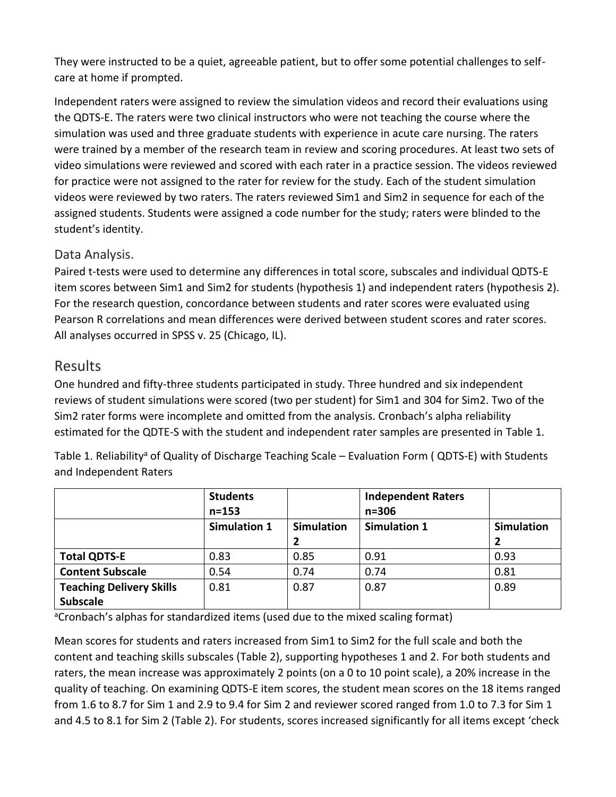They were instructed to be a quiet, agreeable patient, but to offer some potential challenges to selfcare at home if prompted.

Independent raters were assigned to review the simulation videos and record their evaluations using the QDTS-E. The raters were two clinical instructors who were not teaching the course where the simulation was used and three graduate students with experience in acute care nursing. The raters were trained by a member of the research team in review and scoring procedures. At least two sets of video simulations were reviewed and scored with each rater in a practice session. The videos reviewed for practice were not assigned to the rater for review for the study. Each of the student simulation videos were reviewed by two raters. The raters reviewed Sim1 and Sim2 in sequence for each of the assigned students. Students were assigned a code number for the study; raters were blinded to the student's identity.

#### Data Analysis.

Paired t-tests were used to determine any differences in total score, subscales and individual QDTS-E item scores between Sim1 and Sim2 for students (hypothesis 1) and independent raters (hypothesis 2). For the research question, concordance between students and rater scores were evaluated using Pearson R correlations and mean differences were derived between student scores and rater scores. All analyses occurred in SPSS v. 25 (Chicago, IL).

#### Results

One hundred and fifty-three students participated in study. Three hundred and six independent reviews of student simulations were scored (two per student) for Sim1 and 304 for Sim2. Two of the Sim2 rater forms were incomplete and omitted from the analysis. Cronbach's alpha reliability estimated for the QDTE-S with the student and independent rater samples are presented in Table 1.

Table 1. Reliability<sup>a</sup> of Quality of Discharge Teaching Scale – Evaluation Form ( QDTS-E) with Students and Independent Raters

|                                 | <b>Students</b><br>$n = 153$ |                   | <b>Independent Raters</b><br>$n = 306$ |                   |
|---------------------------------|------------------------------|-------------------|----------------------------------------|-------------------|
|                                 | <b>Simulation 1</b>          | <b>Simulation</b> | <b>Simulation 1</b>                    | <b>Simulation</b> |
|                                 |                              |                   |                                        | 2                 |
| <b>Total QDTS-E</b>             | 0.83                         | 0.85              | 0.91                                   | 0.93              |
| <b>Content Subscale</b>         | 0.54                         | 0.74              | 0.74                                   | 0.81              |
| <b>Teaching Delivery Skills</b> | 0.81                         | 0.87              | 0.87                                   | 0.89              |
| <b>Subscale</b>                 |                              |                   |                                        |                   |

aCronbach's alphas for standardized items (used due to the mixed scaling format)

Mean scores for students and raters increased from Sim1 to Sim2 for the full scale and both the content and teaching skills subscales (Table 2), supporting hypotheses 1 and 2. For both students and raters, the mean increase was approximately 2 points (on a 0 to 10 point scale), a 20% increase in the quality of teaching. On examining QDTS-E item scores, the student mean scores on the 18 items ranged from 1.6 to 8.7 for Sim 1 and 2.9 to 9.4 for Sim 2 and reviewer scored ranged from 1.0 to 7.3 for Sim 1 and 4.5 to 8.1 for Sim 2 (Table 2). For students, scores increased significantly for all items except 'check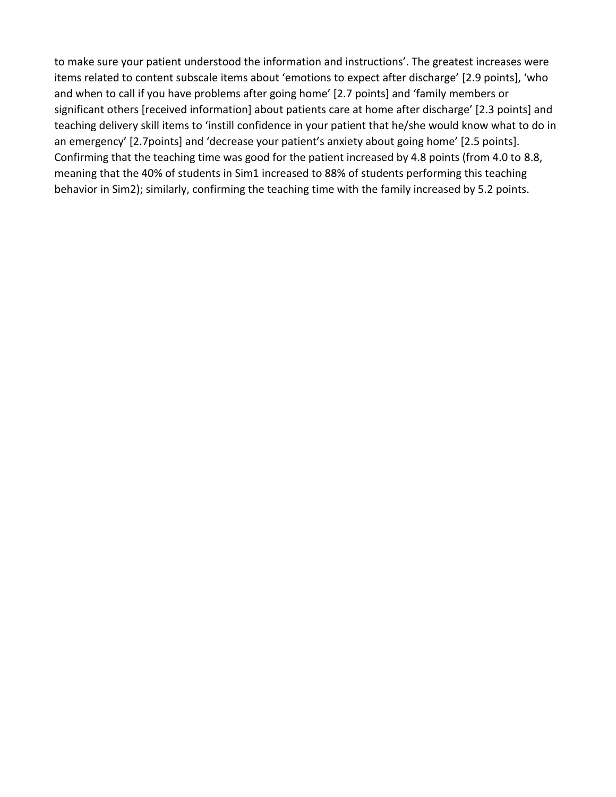to make sure your patient understood the information and instructions'. The greatest increases were items related to content subscale items about 'emotions to expect after discharge' [2.9 points], 'who and when to call if you have problems after going home' [2.7 points] and 'family members or significant others [received information] about patients care at home after discharge' [2.3 points] and teaching delivery skill items to 'instill confidence in your patient that he/she would know what to do in an emergency' [2.7points] and 'decrease your patient's anxiety about going home' [2.5 points]. Confirming that the teaching time was good for the patient increased by 4.8 points (from 4.0 to 8.8, meaning that the 40% of students in Sim1 increased to 88% of students performing this teaching behavior in Sim2); similarly, confirming the teaching time with the family increased by 5.2 points.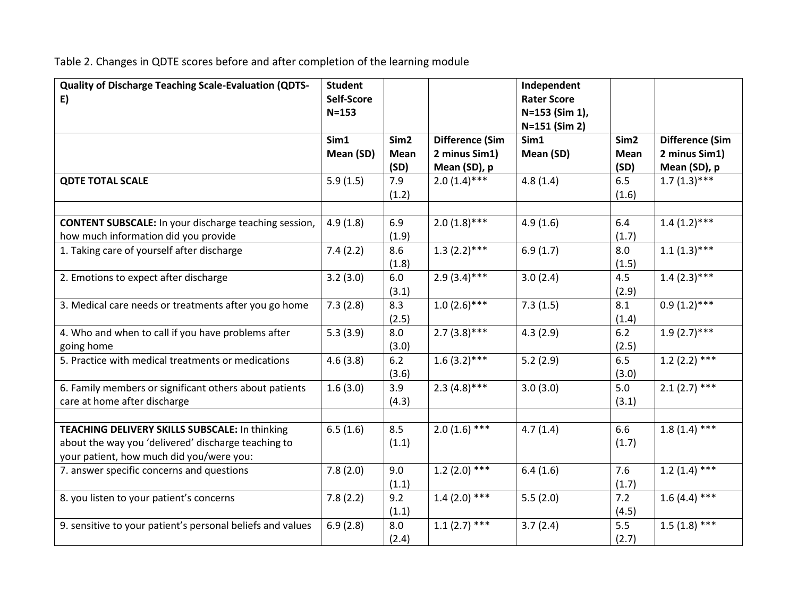Table 2. Changes in QDTE scores before and after completion of the learning module

| <b>Quality of Discharge Teaching Scale-Evaluation (QDTS-</b><br>E)                                                                                | <b>Student</b><br>Self-Score |                                         |                                                         | Independent<br><b>Rater Score</b> |                                  |                                                         |
|---------------------------------------------------------------------------------------------------------------------------------------------------|------------------------------|-----------------------------------------|---------------------------------------------------------|-----------------------------------|----------------------------------|---------------------------------------------------------|
|                                                                                                                                                   | $N = 153$                    |                                         |                                                         | N=153 (Sim 1),<br>N=151 (Sim 2)   |                                  |                                                         |
|                                                                                                                                                   | Sim1<br>Mean (SD)            | Sim <sub>2</sub><br><b>Mean</b><br>(SD) | <b>Difference (Sim</b><br>2 minus Sim1)<br>Mean (SD), p | Sim1<br>Mean (SD)                 | Sim <sub>2</sub><br>Mean<br>(SD) | <b>Difference (Sim</b><br>2 minus Sim1)<br>Mean (SD), p |
| <b>QDTE TOTAL SCALE</b>                                                                                                                           | 5.9(1.5)                     | 7.9<br>(1.2)                            | $2.0(1.4)$ ***                                          | 4.8(1.4)                          | 6.5<br>(1.6)                     | $1.7(1.3)$ ***                                          |
| <b>CONTENT SUBSCALE:</b> In your discharge teaching session,<br>how much information did you provide                                              | 4.9(1.8)                     | 6.9<br>(1.9)                            | $2.0(1.8)$ ***                                          | 4.9(1.6)                          | 6.4<br>(1.7)                     | $1.4(1.2)$ ***                                          |
| 1. Taking care of yourself after discharge                                                                                                        | 7.4(2.2)                     | 8.6<br>(1.8)                            | $1.\overline{3(2.2)****}$                               | 6.9(1.7)                          | 8.0<br>(1.5)                     | $1.1\overline{(1.3)***}$                                |
| 2. Emotions to expect after discharge                                                                                                             | 3.2(3.0)                     | 6.0<br>(3.1)                            | $2.9(3.4)***$                                           | 3.0(2.4)                          | 4.5<br>(2.9)                     | $1.4(2.3)***$                                           |
| 3. Medical care needs or treatments after you go home                                                                                             | 7.3(2.8)                     | 8.3<br>(2.5)                            | $1.0(2.6)***$                                           | 7.3(1.5)                          | 8.1<br>(1.4)                     | $0.9(1.2)***$                                           |
| 4. Who and when to call if you have problems after<br>going home                                                                                  | 5.3(3.9)                     | 8.0<br>(3.0)                            | $2.7(3.8)***$                                           | 4.3(2.9)                          | 6.2<br>(2.5)                     | $1.9(2.7)$ ***                                          |
| 5. Practice with medical treatments or medications                                                                                                | 4.6(3.8)                     | 6.2<br>(3.6)                            | $1.6(3.2)$ ***                                          | 5.2(2.9)                          | 6.5<br>(3.0)                     | 1.2 $(2.2)$ ***                                         |
| 6. Family members or significant others about patients<br>care at home after discharge                                                            | 1.6(3.0)                     | 3.9<br>(4.3)                            | 2.3 $(4.8)***$                                          | 3.0(3.0)                          | 5.0<br>(3.1)                     | $2.1(2.7)$ ***                                          |
| TEACHING DELIVERY SKILLS SUBSCALE: In thinking<br>about the way you 'delivered' discharge teaching to<br>your patient, how much did you/were you: | 6.5(1.6)                     | 8.5<br>(1.1)                            | $2.0(1.6)$ ***                                          | 4.7(1.4)                          | 6.6<br>(1.7)                     | $1.8(1.4)$ ***                                          |
| 7. answer specific concerns and questions                                                                                                         | 7.8(2.0)                     | 9.0<br>(1.1)                            | $1.2(2.0)$ ***                                          | 6.4(1.6)                          | 7.6<br>(1.7)                     | $1.2(1.4)$ ***                                          |
| 8. you listen to your patient's concerns                                                                                                          | 7.8(2.2)                     | 9.2<br>(1.1)                            | $1.4(2.0)$ ***                                          | 5.5(2.0)                          | 7.2<br>(4.5)                     | $1.6(4.4)$ ***                                          |
| 9. sensitive to your patient's personal beliefs and values                                                                                        | 6.9(2.8)                     | 8.0<br>(2.4)                            | $1.1(2.7)$ ***                                          | 3.7(2.4)                          | 5.5<br>(2.7)                     | $1.5(1.8)$ ***                                          |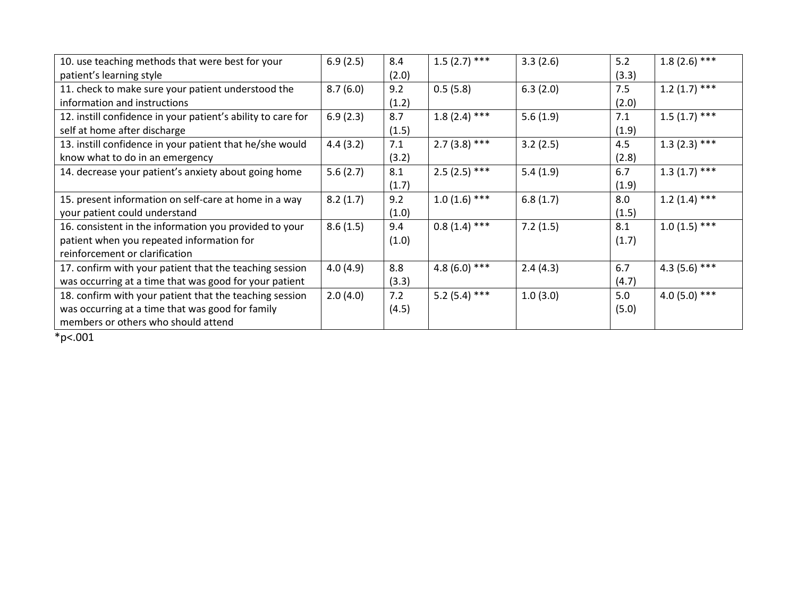| 10. use teaching methods that were best for your             | 6.9(2.5) | 8.4   | $1.5(2.7)$ ***  | 3.3(2.6) | 5.2   | $1.8(2.6)$ *** |
|--------------------------------------------------------------|----------|-------|-----------------|----------|-------|----------------|
| patient's learning style                                     |          | (2.0) |                 |          | (3.3) |                |
| 11. check to make sure your patient understood the           | 8.7(6.0) | 9.2   | 0.5(5.8)        | 6.3(2.0) | 7.5   | $1.2(1.7)$ *** |
| information and instructions                                 |          | (1.2) |                 |          | (2.0) |                |
| 12. instill confidence in your patient's ability to care for | 6.9(2.3) | 8.7   | $1.8(2.4)$ ***  | 5.6(1.9) | 7.1   | $1.5(1.7)$ *** |
| self at home after discharge                                 |          | (1.5) |                 |          | (1.9) |                |
| 13. instill confidence in your patient that he/she would     | 4.4(3.2) | 7.1   | $2.7(3.8)$ ***  | 3.2(2.5) | 4.5   | $1.3(2.3)$ *** |
| know what to do in an emergency                              |          | (3.2) |                 |          | (2.8) |                |
| 14. decrease your patient's anxiety about going home         | 5.6(2.7) | 8.1   | $2.5(2.5)$ ***  | 5.4(1.9) | 6.7   | $1.3(1.7)$ *** |
|                                                              |          | (1.7) |                 |          | (1.9) |                |
| 15. present information on self-care at home in a way        | 8.2(1.7) | 9.2   | $1.0(1.6)$ ***  | 6.8(1.7) | 8.0   | $1.2(1.4)$ *** |
| your patient could understand                                |          | (1.0) |                 |          | (1.5) |                |
| 16. consistent in the information you provided to your       | 8.6(1.5) | 9.4   | $0.8(1.4)$ ***  | 7.2(1.5) | 8.1   | $1.0(1.5)$ *** |
| patient when you repeated information for                    |          | (1.0) |                 |          | (1.7) |                |
| reinforcement or clarification                               |          |       |                 |          |       |                |
| 17. confirm with your patient that the teaching session      | 4.0(4.9) | 8.8   | 4.8 (6.0) ***   | 2.4(4.3) | 6.7   | $4.3(5.6)$ *** |
| was occurring at a time that was good for your patient       |          | (3.3) |                 |          | (4.7) |                |
| 18. confirm with your patient that the teaching session      | 2.0(4.0) | 7.2   | 5.2 $(5.4)$ *** | 1.0(3.0) | 5.0   | $4.0(5.0)$ *** |
| was occurring at a time that was good for family             |          | (4.5) |                 |          | (5.0) |                |
| members or others who should attend                          |          |       |                 |          |       |                |

 $*_{p<.001}$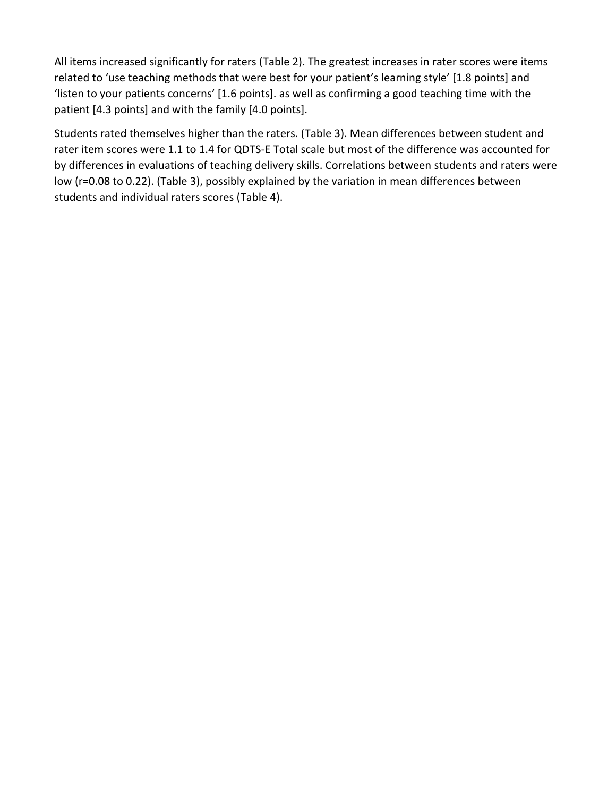All items increased significantly for raters (Table 2). The greatest increases in rater scores were items related to 'use teaching methods that were best for your patient's learning style' [1.8 points] and 'listen to your patients concerns' [1.6 points]. as well as confirming a good teaching time with the patient [4.3 points] and with the family [4.0 points].

Students rated themselves higher than the raters. (Table 3). Mean differences between student and rater item scores were 1.1 to 1.4 for QDTS-E Total scale but most of the difference was accounted for by differences in evaluations of teaching delivery skills. Correlations between students and raters were low (r=0.08 to 0.22). (Table 3), possibly explained by the variation in mean differences between students and individual raters scores (Table 4).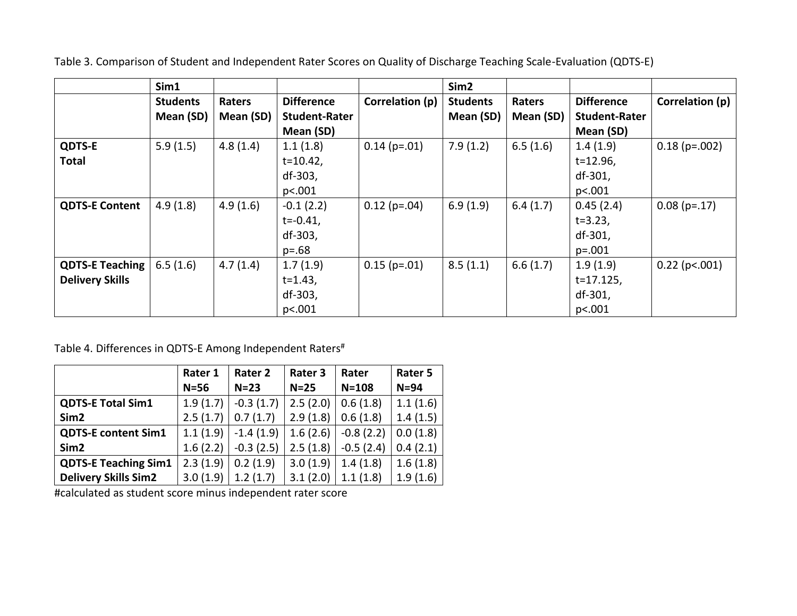|                        | Sim1            |           |                      |                 | Sim <sub>2</sub> |           |                      |                  |
|------------------------|-----------------|-----------|----------------------|-----------------|------------------|-----------|----------------------|------------------|
|                        | <b>Students</b> | Raters    | <b>Difference</b>    | Correlation (p) | <b>Students</b>  | Raters    | <b>Difference</b>    | Correlation (p)  |
|                        | Mean (SD)       | Mean (SD) | <b>Student-Rater</b> |                 | Mean (SD)        | Mean (SD) | <b>Student-Rater</b> |                  |
|                        |                 |           | Mean (SD)            |                 |                  |           | Mean (SD)            |                  |
| <b>QDTS-E</b>          | 5.9(1.5)        | 4.8(1.4)  | 1.1(1.8)             | $0.14$ (p=.01)  | 7.9(1.2)         | 6.5(1.6)  | 1.4(1.9)             | $0.18$ (p=.002)  |
| Total                  |                 |           | $t = 10.42$ ,        |                 |                  |           | $t = 12.96$ ,        |                  |
|                        |                 |           | df-303,              |                 |                  |           | df-301,              |                  |
|                        |                 |           | p<.001               |                 |                  |           | p<.001               |                  |
| <b>QDTS-E Content</b>  | 4.9(1.8)        | 4.9(1.6)  | $-0.1(2.2)$          | $0.12$ (p=.04)  | 6.9(1.9)         | 6.4(1.7)  | 0.45(2.4)            | $0.08(p=.17)$    |
|                        |                 |           | $t = -0.41$ ,        |                 |                  |           | $t = 3.23$ ,         |                  |
|                        |                 |           | df-303,              |                 |                  |           | df-301,              |                  |
|                        |                 |           | $p = .68$            |                 |                  |           | $p=.001$             |                  |
| <b>QDTS-E Teaching</b> | 6.5(1.6)        | 4.7(1.4)  | 1.7(1.9)             | $0.15$ (p=.01)  | 8.5(1.1)         | 6.6(1.7)  | 1.9(1.9)             | $0.22$ (p <.001) |
| <b>Delivery Skills</b> |                 |           | $t = 1.43$ ,         |                 |                  |           | $t = 17.125$ ,       |                  |
|                        |                 |           | df-303,              |                 |                  |           | df-301,              |                  |
|                        |                 |           | p<.001               |                 |                  |           | p<.001               |                  |

Table 3. Comparison of Student and Independent Rater Scores on Quality of Discharge Teaching Scale-Evaluation (QDTS-E)

Table 4. Differences in QDTS-E Among Independent Raters<sup>#</sup>

|                             | Rater 1  | Rater 2     | Rater 3  | Rater       | Rater 5  |
|-----------------------------|----------|-------------|----------|-------------|----------|
|                             | $N=56$   | $N=23$      | $N=25$   | $N = 108$   | $N=94$   |
| <b>QDTS-E Total Sim1</b>    | 1.9(1.7) | $-0.3(1.7)$ | 2.5(2.0) | 0.6(1.8)    | 1.1(1.6) |
| Sim <sub>2</sub>            | 2.5(1.7) | 0.7(1.7)    | 2.9(1.8) | 0.6(1.8)    | 1.4(1.5) |
| <b>QDTS-E content Sim1</b>  | 1.1(1.9) | $-1.4(1.9)$ | 1.6(2.6) | $-0.8(2.2)$ | 0.0(1.8) |
| Sim <sub>2</sub>            | 1.6(2.2) | $-0.3(2.5)$ | 2.5(1.8) | $-0.5(2.4)$ | 0.4(2.1) |
| <b>QDTS-E Teaching Sim1</b> | 2.3(1.9) | 0.2(1.9)    | 3.0(1.9) | 1.4(1.8)    | 1.6(1.8) |
| <b>Delivery Skills Sim2</b> | 3.0(1.9) | 1.2(1.7)    | 3.1(2.0) | 1.1(1.8)    | 1.9(1.6) |

#calculated as student score minus independent rater score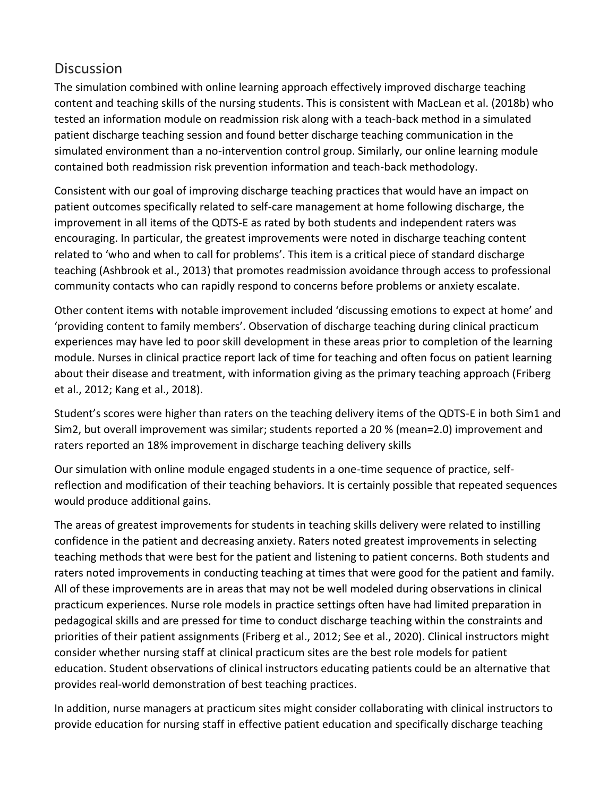## **Discussion**

The simulation combined with online learning approach effectively improved discharge teaching content and teaching skills of the nursing students. This is consistent with MacLean et al. (2018b) who tested an information module on readmission risk along with a teach-back method in a simulated patient discharge teaching session and found better discharge teaching communication in the simulated environment than a no-intervention control group. Similarly, our online learning module contained both readmission risk prevention information and teach-back methodology.

Consistent with our goal of improving discharge teaching practices that would have an impact on patient outcomes specifically related to self-care management at home following discharge, the improvement in all items of the QDTS-E as rated by both students and independent raters was encouraging. In particular, the greatest improvements were noted in discharge teaching content related to 'who and when to call for problems'. This item is a critical piece of standard discharge teaching (Ashbrook et al., 2013) that promotes readmission avoidance through access to professional community contacts who can rapidly respond to concerns before problems or anxiety escalate.

Other content items with notable improvement included 'discussing emotions to expect at home' and 'providing content to family members'. Observation of discharge teaching during clinical practicum experiences may have led to poor skill development in these areas prior to completion of the learning module. Nurses in clinical practice report lack of time for teaching and often focus on patient learning about their disease and treatment, with information giving as the primary teaching approach (Friberg et al., 2012; Kang et al., 2018).

Student's scores were higher than raters on the teaching delivery items of the QDTS-E in both Sim1 and Sim2, but overall improvement was similar; students reported a 20 % (mean=2.0) improvement and raters reported an 18% improvement in discharge teaching delivery skills

Our simulation with online module engaged students in a one-time sequence of practice, selfreflection and modification of their teaching behaviors. It is certainly possible that repeated sequences would produce additional gains.

The areas of greatest improvements for students in teaching skills delivery were related to instilling confidence in the patient and decreasing anxiety. Raters noted greatest improvements in selecting teaching methods that were best for the patient and listening to patient concerns. Both students and raters noted improvements in conducting teaching at times that were good for the patient and family. All of these improvements are in areas that may not be well modeled during observations in clinical practicum experiences. Nurse role models in practice settings often have had limited preparation in pedagogical skills and are pressed for time to conduct discharge teaching within the constraints and priorities of their patient assignments (Friberg et al., 2012; See et al., 2020). Clinical instructors might consider whether nursing staff at clinical practicum sites are the best role models for patient education. Student observations of clinical instructors educating patients could be an alternative that provides real-world demonstration of best teaching practices.

In addition, nurse managers at practicum sites might consider collaborating with clinical instructors to provide education for nursing staff in effective patient education and specifically discharge teaching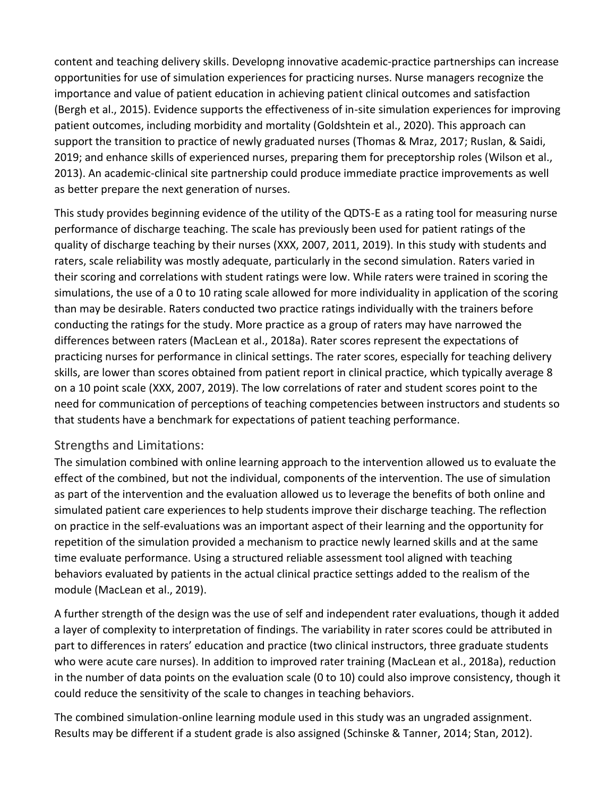content and teaching delivery skills. Developng innovative academic-practice partnerships can increase opportunities for use of simulation experiences for practicing nurses. Nurse managers recognize the importance and value of patient education in achieving patient clinical outcomes and satisfaction (Bergh et al., 2015). Evidence supports the effectiveness of in-site simulation experiences for improving patient outcomes, including morbidity and mortality (Goldshtein et al., 2020). This approach can support the transition to practice of newly graduated nurses (Thomas & Mraz, 2017; Ruslan, & Saidi, 2019; and enhance skills of experienced nurses, preparing them for preceptorship roles (Wilson et al., 2013). An academic-clinical site partnership could produce immediate practice improvements as well as better prepare the next generation of nurses.

This study provides beginning evidence of the utility of the QDTS-E as a rating tool for measuring nurse performance of discharge teaching. The scale has previously been used for patient ratings of the quality of discharge teaching by their nurses (XXX, 2007, 2011, 2019). In this study with students and raters, scale reliability was mostly adequate, particularly in the second simulation. Raters varied in their scoring and correlations with student ratings were low. While raters were trained in scoring the simulations, the use of a 0 to 10 rating scale allowed for more individuality in application of the scoring than may be desirable. Raters conducted two practice ratings individually with the trainers before conducting the ratings for the study. More practice as a group of raters may have narrowed the differences between raters (MacLean et al., 2018a). Rater scores represent the expectations of practicing nurses for performance in clinical settings. The rater scores, especially for teaching delivery skills, are lower than scores obtained from patient report in clinical practice, which typically average 8 on a 10 point scale (XXX, 2007, 2019). The low correlations of rater and student scores point to the need for communication of perceptions of teaching competencies between instructors and students so that students have a benchmark for expectations of patient teaching performance.

#### Strengths and Limitations:

The simulation combined with online learning approach to the intervention allowed us to evaluate the effect of the combined, but not the individual, components of the intervention. The use of simulation as part of the intervention and the evaluation allowed us to leverage the benefits of both online and simulated patient care experiences to help students improve their discharge teaching. The reflection on practice in the self-evaluations was an important aspect of their learning and the opportunity for repetition of the simulation provided a mechanism to practice newly learned skills and at the same time evaluate performance. Using a structured reliable assessment tool aligned with teaching behaviors evaluated by patients in the actual clinical practice settings added to the realism of the module (MacLean et al., 2019).

A further strength of the design was the use of self and independent rater evaluations, though it added a layer of complexity to interpretation of findings. The variability in rater scores could be attributed in part to differences in raters' education and practice (two clinical instructors, three graduate students who were acute care nurses). In addition to improved rater training (MacLean et al., 2018a), reduction in the number of data points on the evaluation scale (0 to 10) could also improve consistency, though it could reduce the sensitivity of the scale to changes in teaching behaviors.

The combined simulation-online learning module used in this study was an ungraded assignment. Results may be different if a student grade is also assigned (Schinske & Tanner, 2014; Stan, 2012).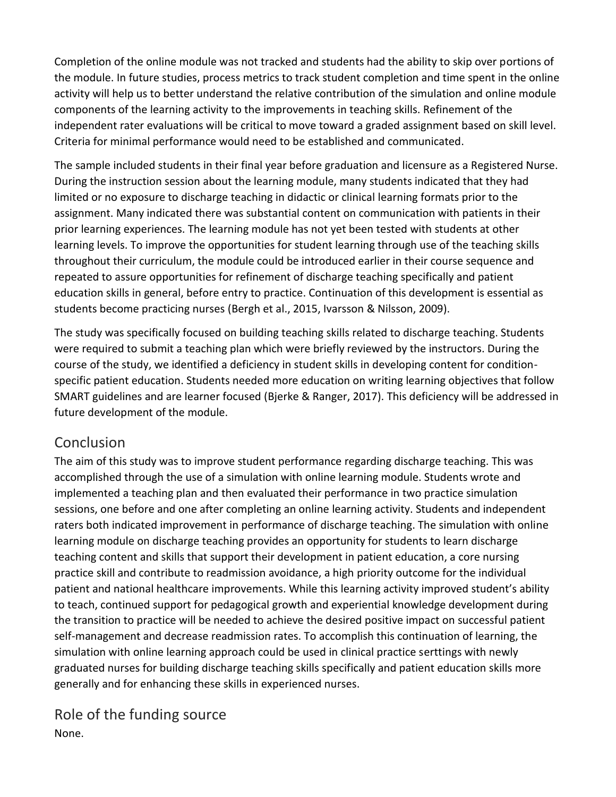Completion of the online module was not tracked and students had the ability to skip over portions of the module. In future studies, process metrics to track student completion and time spent in the online activity will help us to better understand the relative contribution of the simulation and online module components of the learning activity to the improvements in teaching skills. Refinement of the independent rater evaluations will be critical to move toward a graded assignment based on skill level. Criteria for minimal performance would need to be established and communicated.

The sample included students in their final year before graduation and licensure as a Registered Nurse. During the instruction session about the learning module, many students indicated that they had limited or no exposure to discharge teaching in didactic or clinical learning formats prior to the assignment. Many indicated there was substantial content on communication with patients in their prior learning experiences. The learning module has not yet been tested with students at other learning levels. To improve the opportunities for student learning through use of the teaching skills throughout their curriculum, the module could be introduced earlier in their course sequence and repeated to assure opportunities for refinement of discharge teaching specifically and patient education skills in general, before entry to practice. Continuation of this development is essential as students become practicing nurses (Bergh et al., 2015, Ivarsson & Nilsson, 2009).

The study was specifically focused on building teaching skills related to discharge teaching. Students were required to submit a teaching plan which were briefly reviewed by the instructors. During the course of the study, we identified a deficiency in student skills in developing content for conditionspecific patient education. Students needed more education on writing learning objectives that follow SMART guidelines and are learner focused (Bjerke & Ranger, 2017). This deficiency will be addressed in future development of the module.

## Conclusion

The aim of this study was to improve student performance regarding discharge teaching. This was accomplished through the use of a simulation with online learning module. Students wrote and implemented a teaching plan and then evaluated their performance in two practice simulation sessions, one before and one after completing an online learning activity. Students and independent raters both indicated improvement in performance of discharge teaching. The simulation with online learning module on discharge teaching provides an opportunity for students to learn discharge teaching content and skills that support their development in patient education, a core nursing practice skill and contribute to readmission avoidance, a high priority outcome for the individual patient and national healthcare improvements. While this learning activity improved student's ability to teach, continued support for pedagogical growth and experiential knowledge development during the transition to practice will be needed to achieve the desired positive impact on successful patient self-management and decrease readmission rates. To accomplish this continuation of learning, the simulation with online learning approach could be used in clinical practice serttings with newly graduated nurses for building discharge teaching skills specifically and patient education skills more generally and for enhancing these skills in experienced nurses.

Role of the funding source None.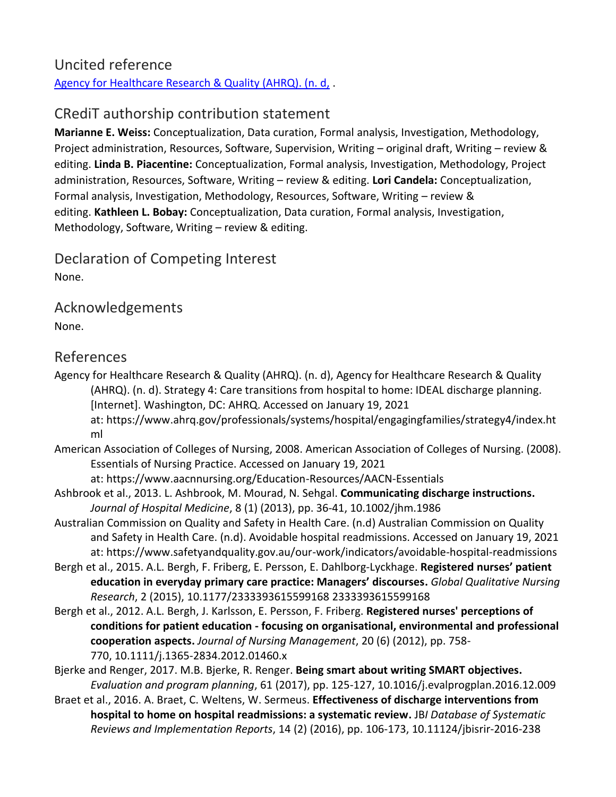#### Uncited reference [Agency for Healthcare Research & Quality \(AHRQ\). \(n. d,](https://www.sciencedirect.com/science/article/pii/S1471595321000603?via%3Dihub#bib1) .

# CRediT authorship contribution statement

**Marianne E. Weiss:** Conceptualization, Data curation, Formal analysis, Investigation, Methodology, Project administration, Resources, Software, Supervision, Writing – original draft, Writing – review & editing. **Linda B. Piacentine:** Conceptualization, Formal analysis, Investigation, Methodology, Project administration, Resources, Software, Writing – review & editing. **Lori Candela:** Conceptualization, Formal analysis, Investigation, Methodology, Resources, Software, Writing – review & editing. **Kathleen L. Bobay:** Conceptualization, Data curation, Formal analysis, Investigation, Methodology, Software, Writing – review & editing.

Declaration of Competing Interest None.

Acknowledgements None.

#### References

- Agency for Healthcare Research & Quality (AHRQ). (n. d), Agency for Healthcare Research & Quality (AHRQ). (n. d). Strategy 4: Care transitions from hospital to home: IDEAL discharge planning. [Internet]. Washington, DC: AHRQ. Accessed on January 19, 2021 at: https://www.ahrq.gov/professionals/systems/hospital/engagingfamilies/strategy4/index.ht ml
- American Association of Colleges of Nursing, 2008. American Association of Colleges of Nursing. (2008). Essentials of Nursing Practice. Accessed on January 19, 2021

at: https://www.aacnnursing.org/Education-Resources/AACN-Essentials

- Ashbrook et al., 2013. L. Ashbrook, M. Mourad, N. Sehgal. **Communicating discharge instructions.**  *Journal of Hospital Medicine*, 8 (1) (2013), pp. 36-41, 10.1002/jhm.1986
- Australian Commission on Quality and Safety in Health Care. (n.d) Australian Commission on Quality and Safety in Health Care. (n.d). Avoidable hospital readmissions. Accessed on January 19, 2021 at: https://www.safetyandquality.gov.au/our-work/indicators/avoidable-hospital-readmissions
- Bergh et al., 2015. A.L. Bergh, F. Friberg, E. Persson, E. Dahlborg-Lyckhage. **Registered nurses' patient education in everyday primary care practice: Managers' discourses.** *Global Qualitative Nursing Research*, 2 (2015), 10.1177/2333393615599168 2333393615599168
- Bergh et al., 2012. A.L. Bergh, J. Karlsson, E. Persson, F. Friberg. **Registered nurses' perceptions of conditions for patient education - focusing on organisational, environmental and professional cooperation aspects.** *Journal of Nursing Management*, 20 (6) (2012), pp. 758- 770, 10.1111/j.1365-2834.2012.01460.x

Bjerke and Renger, 2017. M.B. Bjerke, R. Renger. **Being smart about writing SMART objectives.**  *Evaluation and program planning*, 61 (2017), pp. 125-127, 10.1016/j.evalprogplan.2016.12.009

Braet et al., 2016. A. Braet, C. Weltens, W. Sermeus. **Effectiveness of discharge interventions from hospital to home on hospital readmissions: a systematic review.** JB*I Database of Systematic Reviews and Implementation Reports*, 14 (2) (2016), pp. 106-173, 10.11124/jbisrir-2016-238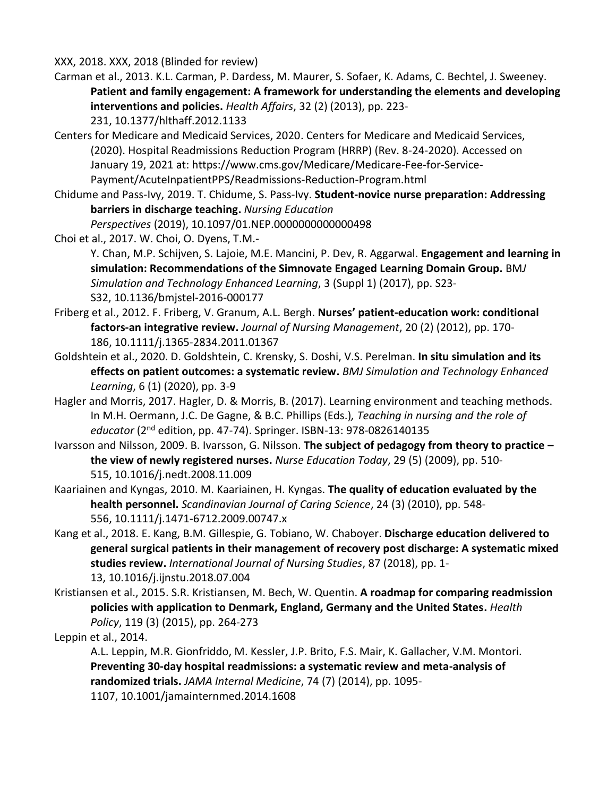XXX, 2018. XXX, 2018 (Blinded for review)

- Carman et al., 2013. K.L. Carman, P. Dardess, M. Maurer, S. Sofaer, K. Adams, C. Bechtel, J. Sweeney. **Patient and family engagement: A framework for understanding the elements and developing interventions and policies.** *Health Affairs*, 32 (2) (2013), pp. 223-
	- 231, 10.1377/hlthaff.2012.1133
- Centers for Medicare and Medicaid Services, 2020. Centers for Medicare and Medicaid Services, (2020). Hospital Readmissions Reduction Program (HRRP) (Rev. 8-24-2020). Accessed on January 19, 2021 at: https://www.cms.gov/Medicare/Medicare-Fee-for-Service-Payment/AcuteInpatientPPS/Readmissions-Reduction-Program.html
- Chidume and Pass-Ivy, 2019. T. Chidume, S. Pass-Ivy. **Student-novice nurse preparation: Addressing barriers in discharge teaching.** *Nursing Education* 
	- *Perspectives* (2019), 10.1097/01.NEP.0000000000000498
- Choi et al., 2017. W. Choi, O. Dyens, T.M.-
	- Y. Chan, M.P. Schijven, S. Lajoie, M.E. Mancini, P. Dev, R. Aggarwal. **Engagement and learning in simulation: Recommendations of the Simnovate Engaged Learning Domain Group.** BM*J Simulation and Technology Enhanced Learning*, 3 (Suppl 1) (2017), pp. S23- S32, 10.1136/bmjstel-2016-000177
- Friberg et al., 2012. F. Friberg, V. Granum, A.L. Bergh. **Nurses' patient-education work: conditional factors-an integrative review.** *Journal of Nursing Management*, 20 (2) (2012), pp. 170- 186, 10.1111/j.1365-2834.2011.01367
- Goldshtein et al., 2020. D. Goldshtein, C. Krensky, S. Doshi, V.S. Perelman. **In situ simulation and its effects on patient outcomes: a systematic review.** *BMJ Simulation and Technology Enhanced Learning*, 6 (1) (2020), pp. 3-9
- Hagler and Morris, 2017. Hagler, D. & Morris, B. (2017). Learning environment and teaching methods. In M.H. Oermann, J.C. De Gagne, & B.C. Phillips (Eds.)*, Teaching in nursing and the role of educator* (2nd edition, pp. 47-74). Springer. ISBN-13: 978-0826140135
- Ivarsson and Nilsson, 2009. B. Ivarsson, G. Nilsson. **The subject of pedagogy from theory to practice – the view of newly registered nurses.** *Nurse Education Today*, 29 (5) (2009), pp. 510- 515, 10.1016/j.nedt.2008.11.009
- Kaariainen and Kyngas, 2010. M. Kaariainen, H. Kyngas. **The quality of education evaluated by the health personnel.** *Scandinavian Journal of Caring Science*, 24 (3) (2010), pp. 548- 556, 10.1111/j.1471-6712.2009.00747.x
- Kang et al., 2018. E. Kang, B.M. Gillespie, G. Tobiano, W. Chaboyer. **Discharge education delivered to general surgical patients in their management of recovery post discharge: A systematic mixed studies review.** *International Journal of Nursing Studies*, 87 (2018), pp. 1- 13, 10.1016/j.ijnstu.2018.07.004
- Kristiansen et al., 2015. S.R. Kristiansen, M. Bech, W. Quentin. **A roadmap for comparing readmission policies with application to Denmark, England, Germany and the United States.** *Health Policy*, 119 (3) (2015), pp. 264-273

Leppin et al., 2014.

A.L. Leppin, M.R. Gionfriddo, M. Kessler, J.P. Brito, F.S. Mair, K. Gallacher, V.M. Montori. **Preventing 30-day hospital readmissions: a systematic review and meta-analysis of randomized trials.** *JAMA Internal Medicine*, 74 (7) (2014), pp. 1095- 1107, 10.1001/jamainternmed.2014.1608